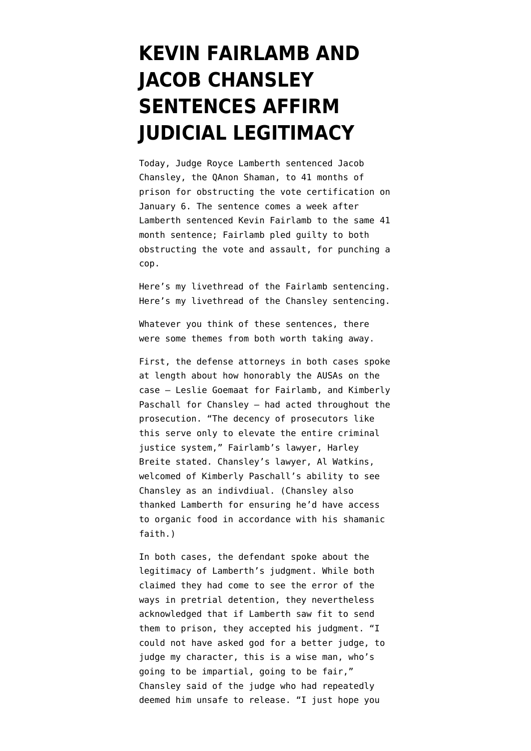## **[KEVIN FAIRLAMB AND](https://www.emptywheel.net/2021/11/17/whatever-else-the-kevin-fairlamb-and-jacob-chansley-sentences-affirm-judicial-legitimacy/) [JACOB CHANSLEY](https://www.emptywheel.net/2021/11/17/whatever-else-the-kevin-fairlamb-and-jacob-chansley-sentences-affirm-judicial-legitimacy/) [SENTENCES AFFIRM](https://www.emptywheel.net/2021/11/17/whatever-else-the-kevin-fairlamb-and-jacob-chansley-sentences-affirm-judicial-legitimacy/) [JUDICIAL LEGITIMACY](https://www.emptywheel.net/2021/11/17/whatever-else-the-kevin-fairlamb-and-jacob-chansley-sentences-affirm-judicial-legitimacy/)**

Today, Judge Royce Lamberth sentenced [Jacob](https://www.justice.gov/usao-dc/case-multi-defendant/file/1364486/download) [Chansley,](https://www.justice.gov/usao-dc/case-multi-defendant/file/1364486/download) the QAnon Shaman, to 41 months of prison for obstructing the vote certification on January 6. The sentence comes a week after Lamberth sentenced [Kevin Fairlamb](https://www.justice.gov/opa/page/file/1359221/download) to the same 41 month sentence; Fairlamb pled guilty to both obstructing the vote and assault, for punching a cop.

[Here's my livethread](https://twitter.com/emptywheel/status/1458472484748120065) of the Fairlamb sentencing. [Here's my livethread](https://twitter.com/emptywheel/status/1460989797397315594) of the Chansley sentencing.

Whatever you think of these sentences, there were some themes from both worth taking away.

First, the defense attorneys in both cases spoke at length about how honorably the AUSAs on the case — Leslie Goemaat for Fairlamb, and Kimberly Paschall for Chansley — had acted throughout the prosecution. "The decency of prosecutors like this serve only to elevate the entire criminal justice system," Fairlamb's lawyer, Harley Breite stated. Chansley's lawyer, Al Watkins, welcomed of Kimberly Paschall's ability to see Chansley as an indivdiual. (Chansley also thanked Lamberth for ensuring he'd have access to organic food in accordance with his shamanic faith.)

In both cases, the defendant spoke about the legitimacy of Lamberth's judgment. While both claimed they had come to see the error of the ways in pretrial detention, they nevertheless acknowledged that if Lamberth saw fit to send them to prison, they accepted his judgment. "I could not have asked god for a better judge, to judge my character, this is a wise man, who's going to be impartial, going to be fair," Chansley said of the judge who had repeatedly deemed him unsafe to release. "I just hope you